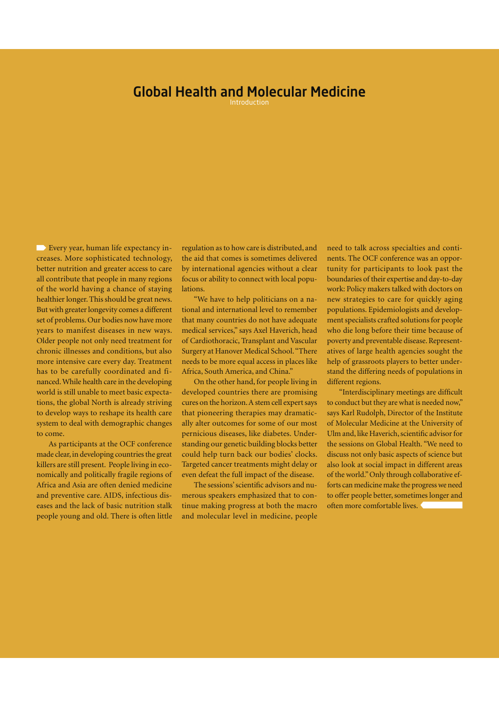#### Global Health and Molecular Medicine

Introduction

Every year, human life expectancy increases. More sophisticated technology, better nutrition and greater access to care all contribute that people in many regions of the world having a chance of staying healthier longer. This should be great news. But with greater longevity comes a different set of problems. Our bodies now have more years to manifest diseases in new ways. Older people not only need treatment for chronic illnesses and conditions, but also more intensive care every day. Treatment has to be carefully coordinated and financed. While health care in the developing world is still unable to meet basic expectations, the global North is already striving to develop ways to reshape its health care system to deal with demographic changes to come.

As participants at the OCF conference made clear, in developing countries the great killers are still present. People living in economically and politically fragile regions of Africa and Asia are often denied medicine and preventive care. AIDS, infectious diseases and the lack of basic nutrition stalk people young and old. There is often little regulation as to how care is distributed, and the aid that comes is sometimes delivered by international agencies without a clear focus or ability to connect with local populations.

"We have to help politicians on a national and international level to remember that many countries do not have adequate medical services," says Axel Haverich, head of Cardiothoracic, Transplant and Vascular Surgery at Hanover Medical School. "There needs to be more equal access in places like Africa, South America, and China."

On the other hand, for people living in developed countries there are promising cures on the horizon. A stem cell expert says that pioneering therapies may dramatically alter outcomes for some of our most pernicious diseases, like diabetes. Understanding our genetic building blocks better could help turn back our bodies' clocks. Targeted cancer treatments might delay or even defeat the full impact of the disease.

The sessions' scientific advisors and numerous speakers emphasized that to continue making progress at both the macro and molecular level in medicine, people

need to talk across specialties and continents. The OCF conference was an opportunity for participants to look past the boundaries of their expertise and day-to-day work: Policy makers talked with doctors on new strategies to care for quickly aging populations. Epidemiologists and development specialists crafted solutions for people who die long before their time because of poverty and preventable disease. Representatives of large health agencies sought the help of grassroots players to better understand the differing needs of populations in different regions.

"Interdisciplinary meetings are difficult to conduct but they are what is needed now," says Karl Rudolph, Director of the Institute of Molecular Medicine at the University of Ulm and, like Haverich, scientific advisor for the sessions on Global Health. "We need to discuss not only basic aspects of science but also look at social impact in different areas of the world." Only through collaborative efforts can medicine make the progress we need to offer people better, sometimes longer and often more comfortable lives.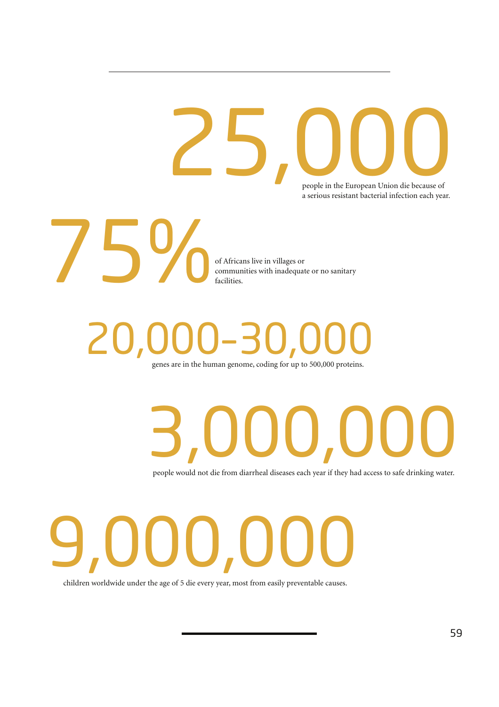people in the European Union die because of a serious resistant bacterial infection each year. **25,000**<br>People in the European Union die because of



of Africans live in villages or communities with inadequate or no sanitary facilities.

## 20,000–30,000

genes are in the human genome, coding for up to 500,000 proteins.

# 3,000,000

people would not die from diarrheal diseases each year if they had access to safe drinking water.



children worldwide under the age of 5 die every year, most from easily preventable causes.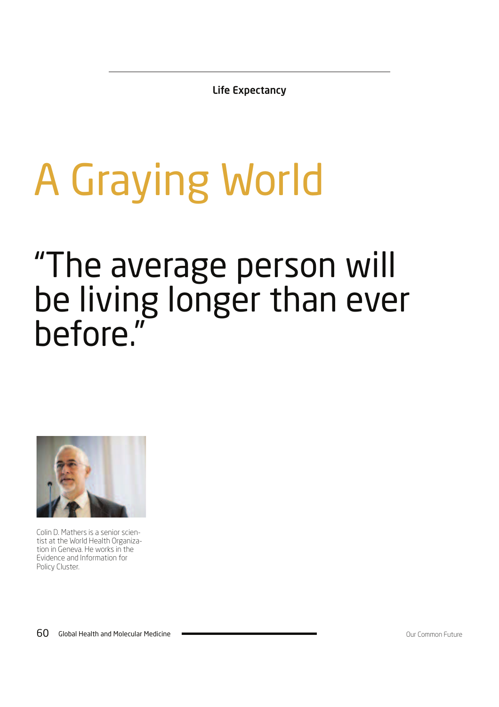Life Expectancy

## A Graying World

### "The average person will be living longer than ever before."



Colin D. Mathers is a senior scientist at the World Health Organization in Geneva. He works in the Evidence and Information for Policy Cluster.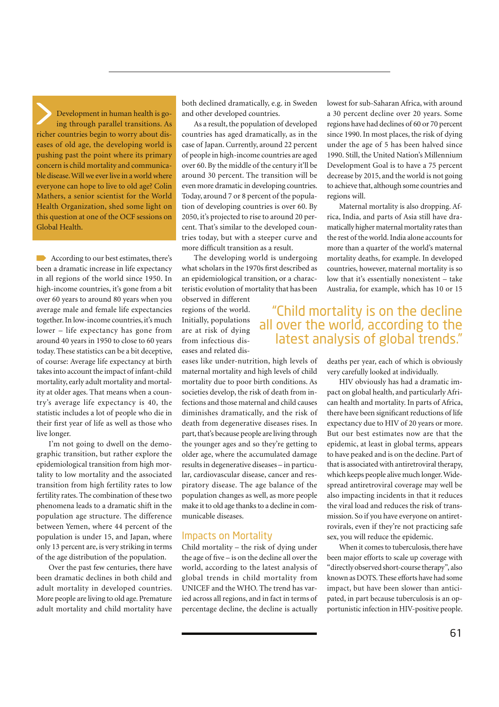Development in human health is going through parallel transitions. As richer countries begin to worry about diseases of old age, the developing world is pushing past the point where its primary concern is child mortality and communicable disease. Will we ever live in a world where everyone can hope to live to old age? Colin Mathers, a senior scientist for the World Health Organization, shed some light on this question at one of the OCF sessions on Global Health.

According to our best estimates, there's been a dramatic increase in life expectancy in all regions of the world since 1950. In high-income countries, it's gone from a bit over 60 years to around 80 years when you average male and female life expectancies together. In low-income countries, it's much lower – life expectancy has gone from around 40 years in 1950 to close to 60 years today. These statistics can be a bit deceptive, of course: Average life expectancy at birth takes into account the impact of infant-child mortality, early adult mortality and mortality at older ages. That means when a country's average life expectancy is 40, the statistic includes a lot of people who die in their first year of life as well as those who live longer.

I'm not going to dwell on the demographic transition, but rather explore the epidemiological transition from high mortality to low mortality and the associated transition from high fertility rates to low fertility rates. The combination of these two phenomena leads to a dramatic shift in the population age structure. The difference between Yemen, where 44 percent of the population is under 15, and Japan, where only 13 percent are, is very striking in terms of the age distribution of the population.

Over the past few centuries, there have been dramatic declines in both child and adult mortality in developed countries. More people are living to old age. Premature adult mortality and child mortality have both declined dramatically, e.g. in Sweden and other developed countries.

As a result, the population of developed countries has aged dramatically, as in the case of Japan. Currently, around 22 percent of people in high-income countries are aged over 60. By the middle of the century it'll be around 30 percent. The transition will be even more dramatic in developing countries. Today, around 7 or 8 percent of the population of developing countries is over 60. By 2050, it's projected to rise to around 20 percent. That's similar to the developed countries today, but with a steeper curve and more difficult transition as a result.

The developing world is undergoing what scholars in the 1970s first described as an epidemiological transition, or a characteristic evolution of mortality that has been

observed in different regions of the world. Initially, populations are at risk of dying from infectious diseases and related dis-

eases like under-nutrition, high levels of maternal mortality and high levels of child mortality due to poor birth conditions. As societies develop, the risk of death from infections and those maternal and child causes diminishes dramatically, and the risk of death from degenerative diseases rises. In part, that's because people are living through the younger ages and so they're getting to older age, where the accumulated damage results in degenerative diseases – in particular, cardiovascular disease, cancer and respiratory disease. The age balance of the population changes as well, as more people make it to old age thanks to a decline in communicable diseases.

#### Impacts on Mortality

Child mortality – the risk of dying under the age of five – is on the decline all over the world, according to the latest analysis of global trends in child mortality from UNICEF and the WHO. The trend has varied across all regions, and in fact in terms of percentage decline, the decline is actually lowest for sub-Saharan Africa, with around a 30 percent decline over 20 years. Some regions have had declines of 60 or 70 percent since 1990. In most places, the risk of dying under the age of 5 has been halved since 1990. Still, the United Nation's Millennium Development Goal is to have a 75 percent decrease by 2015, and the world is not going to achieve that, although some countries and regions will.

Maternal mortality is also dropping. Africa, India, and parts of Asia still have dramatically higher maternal mortality rates than the rest of the world. India alone accounts for more than a quarter of the world's maternal mortality deaths, for example. In developed countries, however, maternal mortality is so low that it's essentially nonexistent – take Australia, for example, which has 10 or 15

#### "Child mortality is on the decline all over the world, according to the latest analysis of global trends."

deaths per year, each of which is obviously very carefully looked at individually.

HIV obviously has had a dramatic impact on global health, and particularly African health and mortality. In parts of Africa, there have been significant reductions of life expectancy due to HIV of 20 years or more. But our best estimates now are that the epidemic, at least in global terms, appears to have peaked and is on the decline. Part of that is associated with antiretroviral therapy, which keeps people alive much longer. Widespread antiretroviral coverage may well be also impacting incidents in that it reduces the viral load and reduces the risk of transmission. So if you have everyone on antiretrovirals, even if they're not practicing safe sex, you will reduce the epidemic.

When it comes to tuberculosis, there have been major efforts to scale up coverage with "directly observed short-course therapy", also known as DOTS. These efforts have had some impact, but have been slower than anticipated, in part because tuberculosis is an opportunistic infection in HIV-positive people.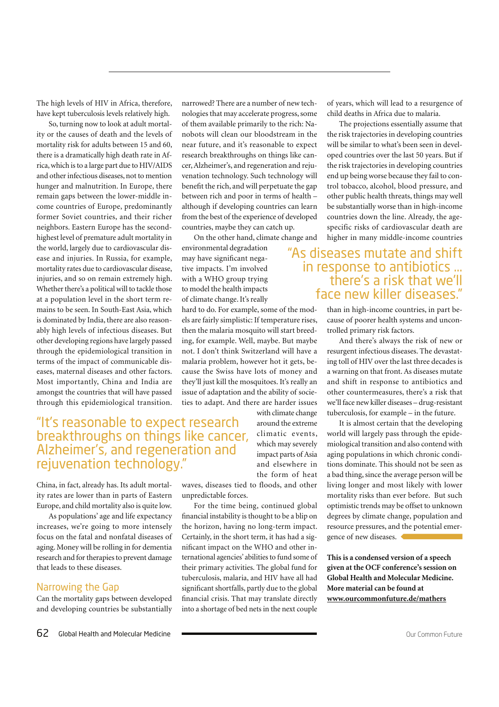The high levels of HIV in Africa, therefore, have kept tuberculosis levels relatively high.

So, turning now to look at adult mortality or the causes of death and the levels of mortality risk for adults between 15 and 60, there is a dramatically high death rate in Africa, which is to a large part due to HIV/AIDS and other infectious diseases, not to mention hunger and malnutrition. In Europe, there remain gaps between the lower-middle income countries of Europe, predominantly former Soviet countries, and their richer neighbors. Eastern Europe has the secondhighest level of premature adult mortality in the world, largely due to cardiovascular disease and injuries. In Russia, for example, mortality rates due to cardiovascular disease, injuries, and so on remain extremely high. Whether there's a political will to tackle those at a population level in the short term remains to be seen. In South-East Asia, which is dominated by India, there are also reasonably high levels of infectious diseases. But other developing regions have largely passed through the epidemiological transition in terms of the impact of communicable diseases, maternal diseases and other factors. Most importantly, China and India are amongst the countries that will have passed through this epidemiological transition. narrowed? There are a number of new technologies that may accelerate progress, some of them available primarily to the rich: Nanobots will clean our bloodstream in the near future, and it's reasonable to expect research breakthroughs on things like cancer, Alzheimer's, and regeneration and rejuvenation technology. Such technology will benefit the rich, and will perpetuate the gap between rich and poor in terms of health – although if developing countries can learn from the best of the experience of developed countries, maybe they can catch up.

On the other hand, climate change and environmental degradation

may have significant negative impacts. I'm involved with a WHO group trying to model the health impacts of climate change. It's really

hard to do. For example, some of the models are fairly simplistic: If temperature rises, then the malaria mosquito will start breeding, for example. Well, maybe. But maybe not. I don't think Switzerland will have a malaria problem, however hot it gets, because the Swiss have lots of money and they'll just kill the mosquitoes. It's really an issue of adaptation and the ability of societies to adapt. And there are harder issues with climate change

> around the extreme climatic events, which may severely impact parts of Asia and elsewhere in the form of heat

#### "It's reasonable to expect research breakthroughs on things like cancer, Alzheimer's, and regeneration and rejuvenation technology."

China, in fact, already has. Its adult mortality rates are lower than in parts of Eastern Europe, and child mortality also is quite low.

As populations' age and life expectancy increases, we're going to more intensely focus on the fatal and nonfatal diseases of aging. Money will be rolling in for dementia research and for therapies to prevent damage that leads to these diseases.

#### Narrowing the Gap

Can the mortality gaps between developed and developing countries be substantially

waves, diseases tied to floods, and other unpredictable forces.

For the time being, continued global financial instability is thought to be a blip on the horizon, having no long-term impact. Certainly, in the short term, it has had a significant impact on the WHO and other international agencies' abilities to fund some of their primary activities. The global fund for tuberculosis, malaria, and HIV have all had significant shortfalls, partly due to the global financial crisis. That may translate directly into a shortage of bed nets in the next couple of years, which will lead to a resurgence of child deaths in Africa due to malaria.

The projections essentially assume that the risk trajectories in developing countries will be similar to what's been seen in developed countries over the last 50 years. But if the risk trajectories in developing countries end up being worse because they fail to control tobacco, alcohol, blood pressure, and other public health threats, things may well be substantially worse than in high-income countries down the line. Already, the agespecific risks of cardiovascular death are higher in many middle-income countries

#### "As diseases mutate and shift in response to antibiotics ... there's a risk that we'll face new killer diseases."

than in high-income countries, in part because of poorer health systems and uncontrolled primary risk factors.

And there's always the risk of new or resurgent infectious diseases. The devastating toll of HIV over the last three decades is a warning on that front. As diseases mutate and shift in response to antibiotics and other countermeasures, there's a risk that we'll face new killer diseases – drug-resistant tuberculosis, for example – in the future.

It is almost certain that the developing world will largely pass through the epidemiological transition and also contend with aging populations in which chronic conditions dominate. This should not be seen as a bad thing, since the average person will be living longer and most likely with lower mortality risks than ever before. But such optimistic trends may be offset to unknown degrees by climate change, population and resource pressures, and the potential emergence of new diseases.

**This is a condensed version of a speech given at the OCF conference's session on Global Health and Molecular Medicine. More material can be found at www.ourcommonfuture.de/mathers**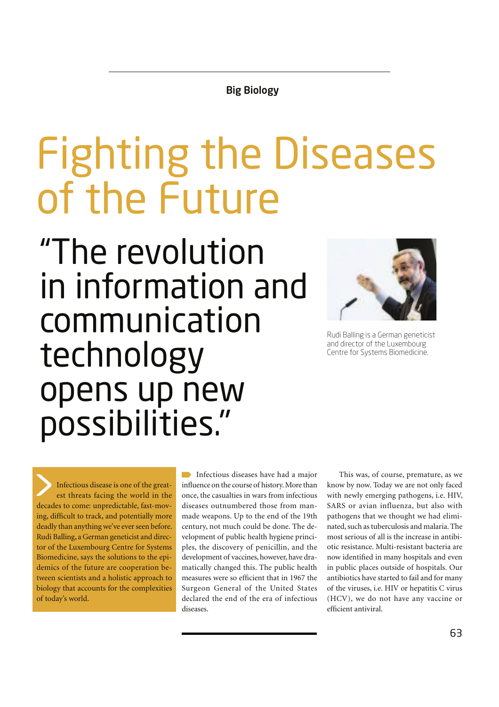Big Biology

### Fighting the Diseases of the Future

"The revolution in information and communication technology opens up new possibilities."



Rudi Balling is a German geneticist and director of the Luxembourg Centre for Systems Biomedicine.

Infectious disease is one of the greatest threats facing the world in the decades to come: unpredictable, fast-moving, difficult to track, and potentially more deadly than anything we've ever seen before. Rudi Balling, a German geneticist and director of the Luxembourg Centre for Systems Biomedicine, says the solutions to the epidemics of the future are cooperation between scientists and a holistic approach to biology that accounts for the complexities of today's world.

Infectious diseases have had a major influence on the course of history. More than once, the casualties in wars from infectious diseases outnumbered those from manmade weapons. Up to the end of the 19th century, not much could be done. The development of public health hygiene principles, the discovery of penicillin, and the development of vaccines, however, have dramatically changed this. The public health measures were so efficient that in 1967 the Surgeon General of the United States declared the end of the era of infectious diseases.

This was, of course, premature, as we know by now. Today we are not only faced with newly emerging pathogens, i.e. HIV, SARS or avian influenza, but also with pathogens that we thought we had eliminated, such as tuberculosis and malaria. The most serious of all is the increase in antibiotic resistance. Multi-resistant bacteria are now identified in many hospitals and even in public places outside of hospitals. Our antibiotics have started to fail and for many of the viruses, i.e. HIV or hepatitis C virus (HCV), we do not have any vaccine or efficient antiviral.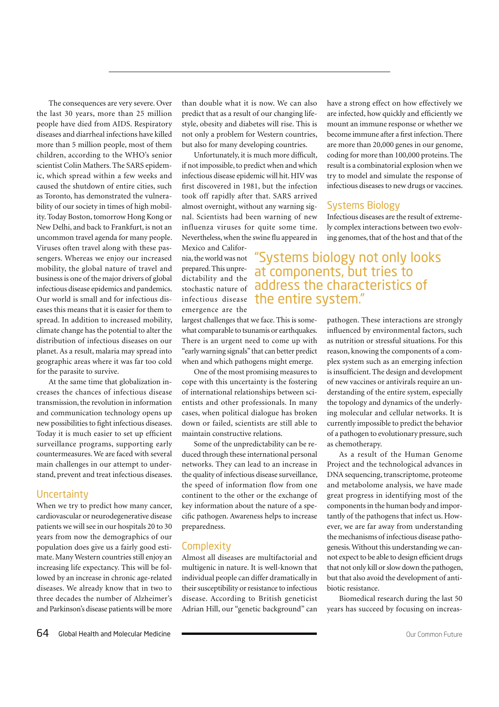The consequences are very severe. Over the last 30 years, more than 25 million people have died from AIDS. Respiratory diseases and diarrheal infections have killed more than 5 million people, most of them children, according to the WHO's senior scientist Colin Mathers. The SARS epidemic, which spread within a few weeks and caused the shutdown of entire cities, such as Toronto, has demonstrated the vulnerability of our society in times of high mobility. Today Boston, tomorrow Hong Kong or New Delhi, and back to Frankfurt, is not an uncommon travel agenda for many people. Viruses often travel along with these passengers. Whereas we enjoy our increased mobility, the global nature of travel and business is one of the major drivers of global infectious disease epidemics and pandemics. Our world is small and for infectious diseases this means that it is easier for them to spread. In addition to increased mobility, climate change has the potential to alter the distribution of infectious diseases on our planet. As a result, malaria may spread into geographic areas where it was far too cold for the parasite to survive.

At the same time that globalization increases the chances of infectious disease transmission, the revolution in information and communication technology opens up new possibilities to fight infectious diseases. Today it is much easier to set up efficient surveillance programs, supporting early countermeasures. We are faced with several main challenges in our attempt to understand, prevent and treat infectious diseases.

#### **Uncertainty**

When we try to predict how many cancer, cardiovascular or neurodegenerative disease patients we will see in our hospitals 20 to 30 years from now the demographics of our population does give us a fairly good estimate. Many Western countries still enjoy an increasing life expectancy. This will be followed by an increase in chronic age-related diseases. We already know that in two to three decades the number of Alzheimer's and Parkinson's disease patients will be more than double what it is now. We can also predict that as a result of our changing lifestyle, obesity and diabetes will rise. This is not only a problem for Western countries, but also for many developing countries.

Unfortunately, it is much more difficult, if not impossible, to predict when and which infectious disease epidemic will hit. HIV was first discovered in 1981, but the infection took off rapidly after that. SARS arrived almost overnight, without any warning signal. Scientists had been warning of new influenza viruses for quite some time. Nevertheless, when the swine flu appeared in

Mexico and California, the world was not prepared. This unpredictability and the stochastic nature of emergence are the

largest challenges that we face. This is somewhat comparable to tsunamis or earthquakes. There is an urgent need to come up with "early warning signals" that can better predict when and which pathogens might emerge.

One of the most promising measures to cope with this uncertainty is the fostering of international relationships between scientists and other professionals. In many cases, when political dialogue has broken down or failed, scientists are still able to maintain constructive relations.

Some of the unpredictability can be reduced through these international personal networks. They can lead to an increase in the quality of infectious disease surveillance, the speed of information flow from one continent to the other or the exchange of key information about the nature of a specific pathogen. Awareness helps to increase preparedness.

#### **Complexity**

Almost all diseases are multifactorial and multigenic in nature. It is well-known that individual people can differ dramatically in their susceptibility or resistance to infectious disease. According to British geneticist Adrian Hill, our "genetic background" can have a strong effect on how effectively we are infected, how quickly and efficiently we mount an immune response or whether we become immune after a first infection. There are more than 20,000 genes in our genome, coding for more than 100,000 proteins. The result is a combinatorial explosion when we try to model and simulate the response of infectious diseases to new drugs or vaccines.

#### Systems Biology

Infectious diseases are the result of extremely complex interactions between two evolving genomes, that of the host and that of the

infectious disease the entire system." "Systems biology not only looks at components, but tries to address the characteristics of

> pathogen. These interactions are strongly influenced by environmental factors, such as nutrition or stressful situations. For this reason, knowing the components of a complex system such as an emerging infection is insufficient. The design and development of new vaccines or antivirals require an understanding of the entire system, especially the topology and dynamics of the underlying molecular and cellular networks. It is currently impossible to predict the behavior of a pathogen to evolutionary pressure, such as chemotherapy.

> As a result of the Human Genome Project and the technological advances in DNA sequencing, transcriptome, proteome and metabolome analysis, we have made great progress in identifying most of the components in the human body and importantly of the pathogens that infect us. However, we are far away from understanding the mechanisms of infectious disease pathogenesis. Without this understanding we cannot expect to be able to design efficient drugs that not only kill or slow down the pathogen, but that also avoid the development of antibiotic resistance.

> Biomedical research during the last 50 years has succeed by focusing on increas-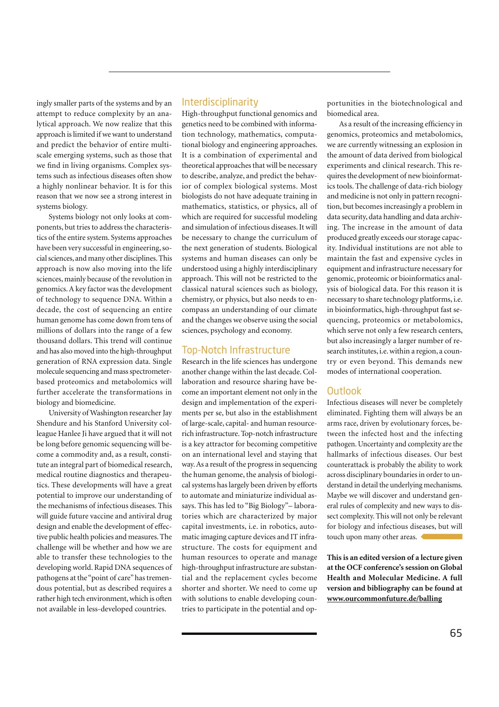ingly smaller parts of the systems and by an attempt to reduce complexity by an analytical approach. We now realize that this approach is limited if we want to understand and predict the behavior of entire multiscale emerging systems, such as those that we find in living organisms. Complex systems such as infectious diseases often show a highly nonlinear behavior. It is for this reason that we now see a strong interest in systems biology.

Systems biology not only looks at components, but tries to address the characteristics of the entire system. Systems approaches have been very successful in engineering, social sciences, and many other disciplines. This approach is now also moving into the life sciences, mainly because of the revolution in genomics. A key factor was the development of technology to sequence DNA. Within a decade, the cost of sequencing an entire human genome has come down from tens of millions of dollars into the range of a few thousand dollars. This trend will continue and has also moved into the high-throughput generation of RNA expression data. Single molecule sequencing and mass spectrometerbased proteomics and metabolomics will further accelerate the transformations in biology and biomedicine.

University of Washington researcher Jay Shendure and his Stanford University colleague Hanlee Ji have argued that it will not be long before genomic sequencing will become a commodity and, as a result, constitute an integral part of biomedical research, medical routine diagnostics and therapeutics. These developments will have a great potential to improve our understanding of the mechanisms of infectious diseases. This will guide future vaccine and antiviral drug design and enable the development of effective public health policies and measures. The challenge will be whether and how we are able to transfer these technologies to the developing world. Rapid DNA sequences of pathogens at the "point of care" has tremendous potential, but as described requires a rather high tech environment, which is often not available in less-developed countries.

#### **Interdisciplinarity**

High-throughput functional genomics and genetics need to be combined with information technology, mathematics, computational biology and engineering approaches. It is a combination of experimental and theoretical approaches that will be necessary to describe, analyze, and predict the behavior of complex biological systems. Most biologists do not have adequate training in mathematics, statistics, or physics, all of which are required for successful modeling and simulation of infectious diseases. It will be necessary to change the curriculum of the next generation of students. Biological systems and human diseases can only be understood using a highly interdisciplinary approach. This will not be restricted to the classical natural sciences such as biology, chemistry, or physics, but also needs to encompass an understanding of our climate and the changes we observe using the social sciences, psychology and economy.

#### Top-Notch Infrastructure

Research in the life sciences has undergone another change within the last decade. Collaboration and resource sharing have become an important element not only in the design and implementation of the experiments per se, but also in the establishment of large-scale, capital- and human resourcerich infrastructure. Top-notch infrastructure is a key attractor for becoming competitive on an international level and staying that way. As a result of the progress in sequencing the human genome, the analysis of biological systems has largely been driven by efforts to automate and miniaturize individual assays. This has led to "Big Biology"– laboratories which are characterized by major capital investments, i.e. in robotics, automatic imaging capture devices and IT infrastructure. The costs for equipment and human resources to operate and manage high-throughput infrastructure are substantial and the replacement cycles become shorter and shorter. We need to come up with solutions to enable developing countries to participate in the potential and opportunities in the biotechnological and biomedical area.

As a result of the increasing efficiency in genomics, proteomics and metabolomics, we are currently witnessing an explosion in the amount of data derived from biological experiments and clinical research. This requires the development of new bioinformatics tools. The challenge of data-rich biology and medicine is not only in pattern recognition, but becomes increasingly a problem in data security, data handling and data archiving. The increase in the amount of data produced greatly exceeds our storage capacity. Individual institutions are not able to maintain the fast and expensive cycles in equipment and infrastructure necessary for genomic, proteomic or bioinformatics analysis of biological data. For this reason it is necessary to share technology platforms, i.e. in bioinformatics, high-throughput fast sequencing, proteomics or metabolomics, which serve not only a few research centers, but also increasingly a larger number of research institutes, i.e. within a region, a country or even beyond. This demands new modes of international cooperation.

#### **Outlook**

Infectious diseases will never be completely eliminated. Fighting them will always be an arms race, driven by evolutionary forces, between the infected host and the infecting pathogen. Uncertainty and complexity are the hallmarks of infectious diseases. Our best counterattack is probably the ability to work across disciplinary boundaries in order to understand in detail the underlying mechanisms. Maybe we will discover and understand general rules of complexity and new ways to dissect complexity. This will not only be relevant for biology and infectious diseases, but will touch upon many other areas.

**This is an edited version of a lecture given at the OCF conference's session on Global Health and Molecular Medicine. A full version and bibliography can be found at www.ourcommonfuture.de/balling**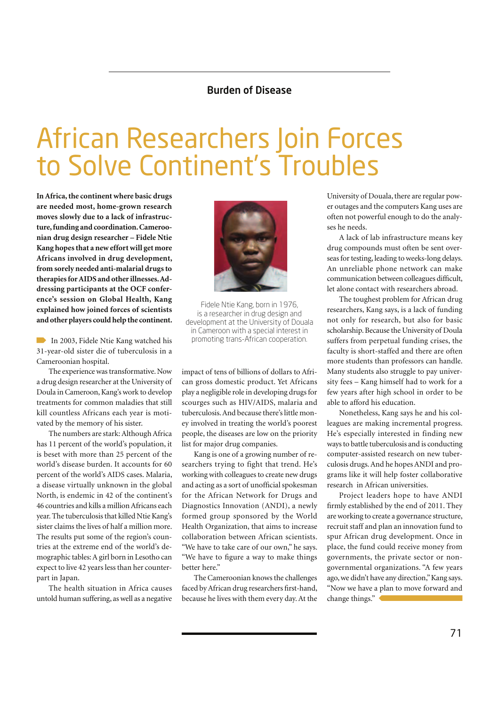#### Burden of Disease

### African Researchers Join Forces to Solve Continent's Troubles

**In Africa, the continent where basic drugs are needed most, home-grown research moves slowly due to a lack of infrastructure, funding and coordination. Cameroonian drug design researcher – Fidele Ntie Kang hopes that a new effort will get more Africans involved in drug development, from sorely needed anti-malarial drugs to therapies for AIDS and other illnesses. Addressing participants at the OCF conference's session on Global Health, Kang explained how joined forces of scientists and other players could help the continent.**

In 2003, Fidele Ntie Kang watched his 31-year-old sister die of tuberculosis in a Cameroonian hospital.

The experience was transformative. Now a drug design researcher at the University of Doula in Cameroon, Kang's work to develop treatments for common maladies that still kill countless Africans each year is motivated by the memory of his sister.

The numbers are stark: Although Africa has 11 percent of the world's population, it is beset with more than 25 percent of the world's disease burden. It accounts for 60 percent of the world's AIDS cases. Malaria, a disease virtually unknown in the global North, is endemic in 42 of the continent's 46 countries and kills a million Africans each year. The tuberculosis that killed Ntie Kang's sister claims the lives of half a million more. The results put some of the region's countries at the extreme end of the world's demographic tables: A girl born in Lesotho can expect to live 42 years less than her counterpart in Japan.

The health situation in Africa causes untold human suffering, as well as a negative



Fidele Ntie Kang, born in 1976, is a researcher in drug design and development at the University of Douala in Cameroon with a special interest in promoting trans-African cooperation.

impact of tens of billions of dollars to African gross domestic product. Yet Africans play a negligible role in developing drugs for scourges such as HIV/AIDS, malaria and tuberculosis. And because there's little money involved in treating the world's poorest people, the diseases are low on the priority list for major drug companies.

Kang is one of a growing number of researchers trying to fight that trend. He's working with colleagues to create new drugs and acting as a sort of unofficial spokesman for the African Network for Drugs and Diagnostics Innovation (ANDI), a newly formed group sponsored by the World Health Organization, that aims to increase collaboration between African scientists. "We have to take care of our own," he says. "We have to figure a way to make things better here."

The Cameroonian knows the challenges faced by African drug researchers first-hand, because he lives with them every day. At the University of Douala, there are regular power outages and the computers Kang uses are often not powerful enough to do the analyses he needs.

A lack of lab infrastructure means key drug compounds must often be sent overseas for testing, leading to weeks-long delays. An unreliable phone network can make communication between colleagues difficult, let alone contact with researchers abroad.

The toughest problem for African drug researchers, Kang says, is a lack of funding not only for research, but also for basic scholarship. Because the University of Doula suffers from perpetual funding crises, the faculty is short-staffed and there are often more students than professors can handle. Many students also struggle to pay university fees – Kang himself had to work for a few years after high school in order to be able to afford his education.

Nonetheless, Kang says he and his colleagues are making incremental progress. He's especially interested in finding new ways to battle tuberculosis and is conducting computer-assisted research on new tuberculosis drugs. And he hopes ANDI and programs like it will help foster collaborative research in African universities.

Project leaders hope to have ANDI firmly established by the end of 2011. They are working to create a governance structure, recruit staff and plan an innovation fund to spur African drug development. Once in place, the fund could receive money from governments, the private sector or nongovernmental organizations. "A few years ago, we didn't have any direction," Kang says. "Now we have a plan to move forward and change things."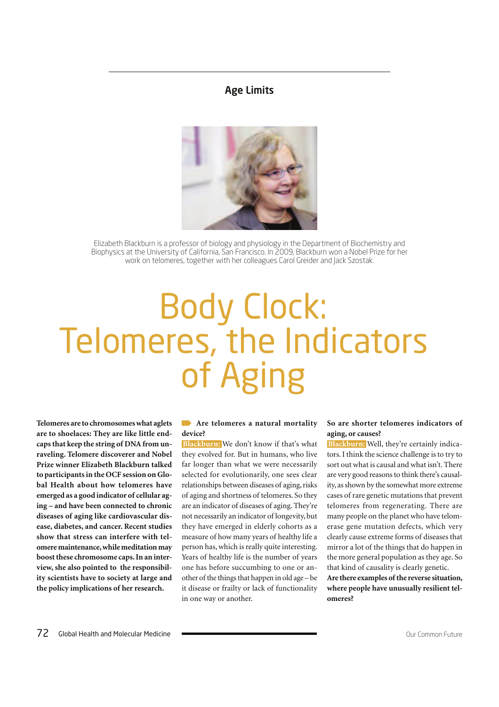#### Age Limits



Elizabeth Blackburn is a professor of biology and physiology in the Department of Biochemistry and Biophysics at the University of California, San Francisco. In 2009, Blackburn won a Nobel Prize for her work on telomeres, together with her colleagues Carol Greider and Jack Szostak.

### Body Clock: Telomeres, the Indicators of Aging

**Telomeres are to chromosomes what aglets are to shoelaces: They are like little endcaps that keep the string of DNA from unraveling. Telomere discoverer and Nobel Prize winner Elizabeth Blackburn talked to participants in the OCF session on Global Health about how telomeres have emerged as a good indicator of cellular aging – and have been connected to chronic diseases of aging like cardiovascular disease, diabetes, and cancer. Recent studies show that stress can interfere with telomere maintenance, while meditation may boost these chromosome caps. In an interview, she also pointed to the responsibility scientists have to society at large and the policy implications of her research.**

#### **Are telomeres a natural mortality device?**

 **Blackburn:** We don't know if that's what they evolved for. But in humans, who live far longer than what we were necessarily selected for evolutionarily, one sees clear relationships between diseases of aging, risks of aging and shortness of telomeres. So they are an indicator of diseases of aging. They're not necessarily an indicator of longevity, but they have emerged in elderly cohorts as a measure of how many years of healthy life a person has, which is really quite interesting. Years of healthy life is the number of years one has before succumbing to one or another of the things that happen in old age – be it disease or frailty or lack of functionality in one way or another.

#### **So are shorter telomeres indicators of aging, or causes?**

 **Blackburn:** Well, they're certainly indicators. I think the science challenge is to try to sort out what is causal and what isn't. There are very good reasons to think there's causality, as shown by the somewhat more extreme cases of rare genetic mutations that prevent telomeres from regenerating. There are many people on the planet who have telomerase gene mutation defects, which very clearly cause extreme forms of diseases that mirror a lot of the things that do happen in the more general population as they age. So that kind of causality is clearly genetic.

**Are there examples of the reverse situation, where people have unusually resilient telomeres?**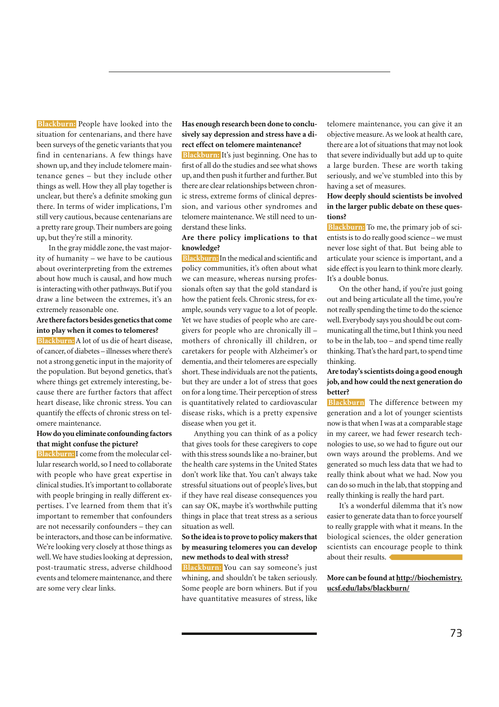**Blackburn:** People have looked into the situation for centenarians, and there have been surveys of the genetic variants that you find in centenarians. A few things have shown up, and they include telomere maintenance genes – but they include other things as well. How they all play together is unclear, but there's a definite smoking gun there. In terms of wider implications, I'm still very cautious, because centenarians are a pretty rare group. Their numbers are going up, but they're still a minority.

In the gray middle zone, the vast majority of humanity – we have to be cautious about overinterpreting from the extremes about how much is causal, and how much is interacting with other pathways. But if you draw a line between the extremes, it's an extremely reasonable one.

#### **Are there factors besides genetics that come into play when it comes to telomeres?**

 **Blackburn:** A lot of us die of heart disease, of cancer, of diabetes – illnesses where there's not a strong genetic input in the majority of the population. But beyond genetics, that's where things get extremely interesting, because there are further factors that affect heart disease, like chronic stress. You can quantify the effects of chronic stress on telomere maintenance.

#### **How do you eliminate confounding factors that might confuse the picture?**

 **Blackburn:** I come from the molecular cellular research world, so I need to collaborate with people who have great expertise in clinical studies. It's important to collaborate with people bringing in really different expertises. I've learned from them that it's important to remember that confounders are not necessarily confounders – they can be interactors, and those can be informative. We're looking very closely at those things as well. We have studies looking at depression, post-traumatic stress, adverse childhood events and telomere maintenance, and there are some very clear links.

#### **Has enough research been done to conclusively say depression and stress have a direct effect on telomere maintenance?**

 **Blackburn:** It's just beginning. One has to first of all do the studies and see what shows up, and then push it further and further. But there are clear relationships between chronic stress, extreme forms of clinical depression, and various other syndromes and telomere maintenance. We still need to understand these links.

#### **Are there policy implications to that knowledge?**

 **Blackburn:** In the medical and scientific and policy communities, it's often about what we can measure, whereas nursing professionals often say that the gold standard is how the patient feels. Chronic stress, for example, sounds very vague to a lot of people. Yet we have studies of people who are caregivers for people who are chronically ill – mothers of chronically ill children, or caretakers for people with Alzheimer's or dementia, and their telomeres are especially short. These individuals are not the patients, but they are under a lot of stress that goes on for a long time. Their perception of stress is quantitatively related to cardiovascular disease risks, which is a pretty expensive disease when you get it.

Anything you can think of as a policy that gives tools for these caregivers to cope with this stress sounds like a no-brainer, but the health care systems in the United States don't work like that. You can't always take stressful situations out of people's lives, but if they have real disease consequences you can say OK, maybe it's worthwhile putting things in place that treat stress as a serious situation as well.

#### **So the idea is to prove to policy makers that by measuring telomeres you can develop new methods to deal with stress?**

 **Blackburn:** You can say someone's just whining, and shouldn't be taken seriously. Some people are born whiners. But if you have quantitative measures of stress, like

telomere maintenance, you can give it an objective measure. As we look at health care, there are a lot of situations that may not look that severe individually but add up to quite a large burden. These are worth taking seriously, and we've stumbled into this by having a set of measures.

#### **How deeply should scientists be involved in the larger public debate on these questions?**

 **Blackburn:** To me, the primary job of scientists is to do really good science – we must never lose sight of that. But being able to articulate your science is important, and a side effect is you learn to think more clearly. It's a double bonus.

On the other hand, if you're just going out and being articulate all the time, you're not really spending the time to do the science well. Everybody says you should be out communicating all the time, but I think you need to be in the lab, too – and spend time really thinking. That's the hard part, to spend time thinking.

#### **Are today's scientists doing a good enough job, and how could the next generation do better?**

**Blackburn** The difference between my generation and a lot of younger scientists now is that when I was at a comparable stage in my career, we had fewer research technologies to use, so we had to figure out our own ways around the problems. And we generated so much less data that we had to really think about what we had. Now you can do so much in the lab, that stopping and really thinking is really the hard part.

It's a wonderful dilemma that it's now easier to generate data than to force yourself to really grapple with what it means. In the biological sciences, the older generation scientists can encourage people to think about their results.

**More can be found at http://biochemistry. ucsf.edu/labs/blackburn/**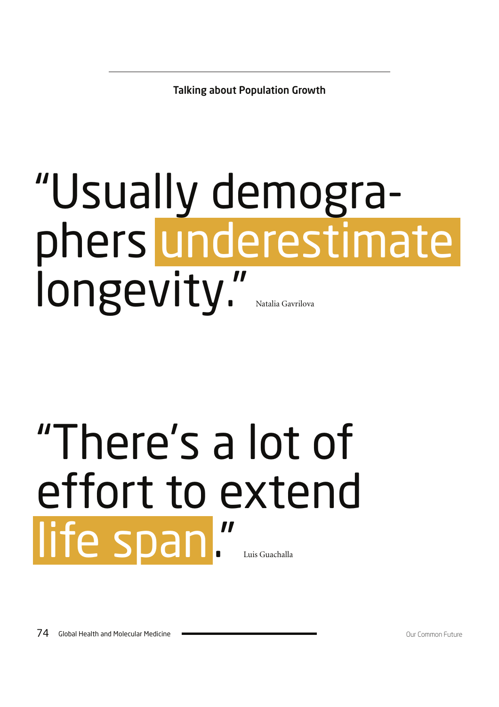Talking about Population Growth

## "Usually demographers underestimate longevity."

## "There's a lot of effort to extend life span."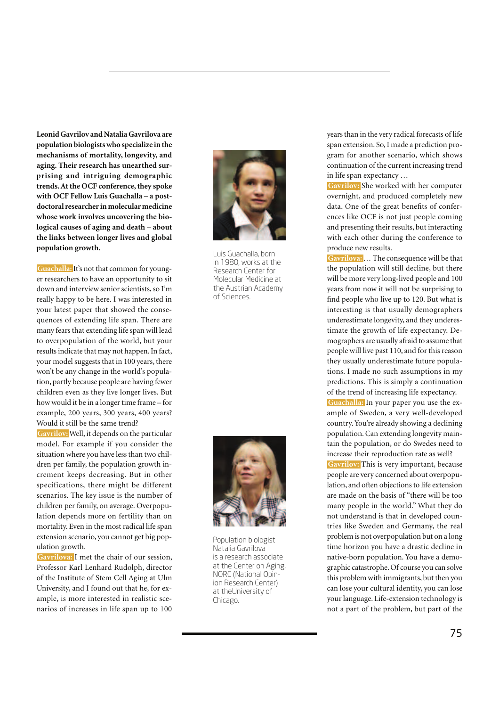**Leonid Gavrilov and Natalia Gavrilova are population biologists who specialize in the mechanisms of mortality, longevity, and aging. Their research has unearthed surprising and intriguing demographic trends. At the OCF conference, they spoke with OCF Fellow Luis Guachalla – a postdoctoral researcher in molecular medicine whose work involves uncovering the biological causes of aging and death – about the links between longer lives and global population growth.**

 **Guachalla:** It's not that common for younger researchers to have an opportunity to sit down and interview senior scientists, so I'm really happy to be here. I was interested in your latest paper that showed the consequences of extending life span. There are many fears that extending life span will lead to overpopulation of the world, but your results indicate that may not happen. In fact, your model suggests that in 100 years, there won't be any change in the world's population, partly because people are having fewer children even as they live longer lives. But how would it be in a longer time frame – for example, 200 years, 300 years, 400 years? Would it still be the same trend?

 **Gavrilov:** Well, it depends on the particular model. For example if you consider the situation where you have less than two children per family, the population growth increment keeps decreasing. But in other specifications, there might be different scenarios. The key issue is the number of children per family, on average. Overpopulation depends more on fertility than on mortality. Even in the most radical life span extension scenario, you cannot get big population growth.

**Gavrilova:** I met the chair of our session, Professor Karl Lenhard Rudolph, director of the Institute of Stem Cell Aging at Ulm University, and I found out that he, for example, is more interested in realistic scenarios of increases in life span up to 100



Luis Guachalla, born in 1980, works at the Research Center for Molecular Medicine at the Austrian Academy of Sciences.



Population biologist Natalia Gavrilova is a research associate at the Center on Aging, NORC (National Opinion Research Center) at theUniversity of Chicago.

years than in the very radical forecasts of life span extension. So, I made a prediction program for another scenario, which shows continuation of the current increasing trend in life span expectancy …

**Gavrilov:** She worked with her computer overnight, and produced completely new data. One of the great benefits of conferences like OCF is not just people coming and presenting their results, but interacting with each other during the conference to produce new results.

 **Gavrilova:**… The consequence will be that the population will still decline, but there will be more very long-lived people and 100 years from now it will not be surprising to find people who live up to 120. But what is interesting is that usually demographers underestimate longevity, and they underestimate the growth of life expectancy. Demographers are usually afraid to assume that people will live past 110, and for this reason they usually underestimate future populations. I made no such assumptions in my predictions. This is simply a continuation of the trend of increasing life expectancy.  **Guachalla:** In your paper you use the example of Sweden, a very well-developed country. You're already showing a declining population. Can extending longevity maintain the population, or do Swedes need to increase their reproduction rate as well?  **Gavrilov:** This is very important, because people are very concerned about overpopulation, and often objections to life extension are made on the basis of "there will be too many people in the world." What they do not understand is that in developed countries like Sweden and Germany, the real problem is not overpopulation but on a long time horizon you have a drastic decline in native-born population. You have a demographic catastrophe. Of course you can solve this problem with immigrants, but then you can lose your cultural identity, you can lose your language. Life-extension technology is not a part of the problem, but part of the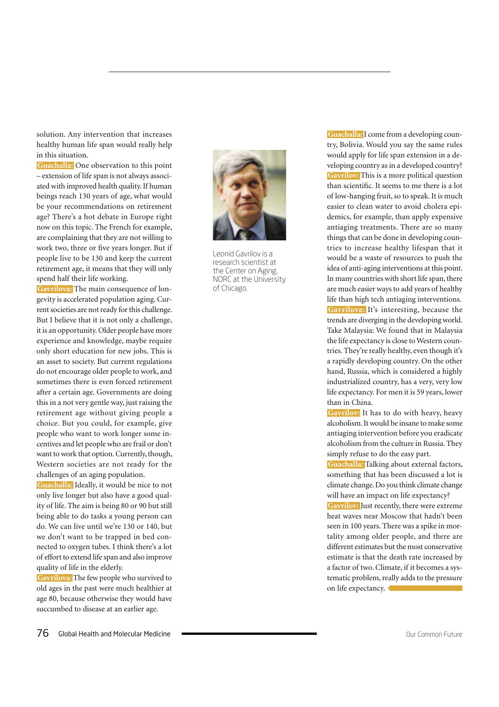solution. Any intervention that increases healthy human life span would really help in this situation.

 **Guachalla:** One observation to this point – extension of life span is not always associated with improved health quality. If human beings reach 130 years of age, what would be your recommendations on retirement age? There's a hot debate in Europe right now on this topic. The French for example, are complaining that they are not willing to work two, three or five years longer. But if people live to be 130 and keep the current retirement age, it means that they will only spend half their life working.

 **Gavrilova:** The main consequence of longevity is accelerated population aging. Current societies are not ready for this challenge. But I believe that it is not only a challenge, it is an opportunity. Older people have more experience and knowledge, maybe require only short education for new jobs. This is an asset to society. But current regulations do not encourage older people to work, and sometimes there is even forced retirement after a certain age. Governments are doing this in a not very gentle way, just raising the retirement age without giving people a choice. But you could, for example, give people who want to work longer some incentives and let people who are frail or don't want to work that option. Currently, though, Western societies are not ready for the challenges of an aging population.

 **Guachalla:** Ideally, it would be nice to not only live longer but also have a good quality of life. The aim is being 80 or 90 but still being able to do tasks a young person can do. We can live until we're 130 or 140, but we don't want to be trapped in bed connected to oxygen tubes. I think there's a lot of effort to extend life span and also improve quality of life in the elderly.

**Gavrilova:** The few people who survived to old ages in the past were much healthier at age 80, because otherwise they would have succumbed to disease at an earlier age.



Leonid Gavrilov is a research scientist at the Center on Aging, NORC at the University of Chicago.

 **Guachalla:** I come from a developing country, Bolivia. Would you say the same rules would apply for life span extension in a developing country as in a developed country?  **Gavrilov:** This is a more political question than scientific. It seems to me there is a lot of low-hanging fruit, so to speak. It is much easier to clean water to avoid cholera epidemics, for example, than apply expensive antiaging treatments. There are so many things that can be done in developing countries to increase healthy lifespan that it would be a waste of resources to push the idea of anti-aging interventions at this point. In many countries with short life span, there are much easier ways to add years of healthy life than high tech antiaging interventions.  **Gavrilova:** It's interesting, because the trends are diverging in the developing world. Take Malaysia: We found that in Malaysia the life expectancy is close to Western countries. They're really healthy, even though it's a rapidly developing country. On the other hand, Russia, which is considered a highly industrialized country, has a very, very low life expectancy. For men it is 59 years, lower than in China.

 **Gavrilov:** It has to do with heavy, heavy alcoholism. It would be insane to make some antiaging intervention before you eradicate alcoholism from the culture in Russia. They simply refuse to do the easy part.

 **Guachalla:** Talking about external factors, something that has been discussed a lot is climate change. Do you think climate change will have an impact on life expectancy?  **Gavrilov:** Just recently, there were extreme heat waves near Moscow that hadn't been seen in 100 years. There was a spike in mortality among older people, and there are different estimates but the most conservative estimate is that the death rate increased by

a factor of two. Climate, if it becomes a systematic problem, really adds to the pressure on life expectancy.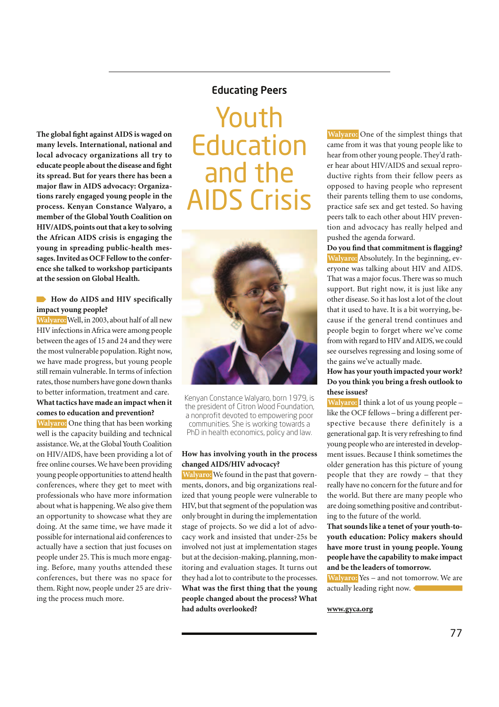#### Educating Peers

**The global fight against AIDS is waged on many levels. International, national and local advocacy organizations all try to educate people about the disease and fight its spread. But for years there has been a major flaw in AIDS advocacy: Organizations rarely engaged young people in the process. Kenyan Constance Walyaro, a member of the Global Youth Coalition on HIV/AIDS, points out that a key to solving the African AIDS crisis is engaging the young in spreading public-health messages. Invited as OCF Fellow to the conference she talked to workshop participants at the session on Global Health.**

#### **How do AIDS and HIV specifically impact young people?**

 **Walyaro:**Well, in 2003, about half of all new HIV infections in Africa were among people between the ages of 15 and 24 and they were the most vulnerable population. Right now, we have made progress, but young people still remain vulnerable. In terms of infection rates, those numbers have gone down thanks to better information, treatment and care.

#### **What tactics have made an impact when it comes to education and prevention?**

 **Walyaro:** One thing that has been working well is the capacity building and technical assistance. We, at the Global Youth Coalition on HIV/AIDS, have been providing a lot of free online courses. We have been providing young people opportunities to attend health conferences, where they get to meet with professionals who have more information about what is happening. We also give them an opportunity to showcase what they are doing. At the same time, we have made it possible for international aid conferences to actually have a section that just focuses on people under 25. This is much more engaging. Before, many youths attended these conferences, but there was no space for them. Right now, people under 25 are driving the process much more.

### Youth Education and the AIDS Crisis



Kenyan Constance Walyaro, born 1979, is the president of Citron Wood Foundation, a nonprofit devoted to empowering poor communities. She is working towards a PhD in health economics, policy and law.

#### **How has involving youth in the process changed AIDS/HIV advocacy?**

 **Walyaro:** We found in the past that governments, donors, and big organizations realized that young people were vulnerable to HIV, but that segment of the population was only brought in during the implementation stage of projects. So we did a lot of advocacy work and insisted that under-25s be involved not just at implementation stages but at the decision-making, planning, monitoring and evaluation stages. It turns out they had a lot to contribute to the processes. **What was the first thing that the young people changed about the process? What had adults overlooked?**

 **Walyaro:** One of the simplest things that came from it was that young people like to hear from other young people. They'd rather hear about HIV/AIDS and sexual reproductive rights from their fellow peers as opposed to having people who represent their parents telling them to use condoms, practice safe sex and get tested. So having peers talk to each other about HIV prevention and advocacy has really helped and pushed the agenda forward.

**Do you find that commitment is flagging? Walyaro:** Absolutely. In the beginning, everyone was talking about HIV and AIDS. That was a major focus. There was so much support. But right now, it is just like any other disease. So it has lost a lot of the clout that it used to have. It is a bit worrying, because if the general trend continues and people begin to forget where we've come from with regard to HIV and AIDS, we could see ourselves regressing and losing some of the gains we've actually made.

#### **How has your youth impacted your work? Do you think you bring a fresh outlook to these issues?**

 **Walyaro:** I think a lot of us young people – like the OCF fellows – bring a different perspective because there definitely is a generational gap. It is very refreshing to find young people who are interested in development issues. Because I think sometimes the older generation has this picture of young people that they are rowdy – that they really have no concern for the future and for the world. But there are many people who are doing something positive and contributing to the future of the world.

**That sounds like a tenet of your youth-toyouth education: Policy makers should have more trust in young people. Young people have the capability to make impact and be the leaders of tomorrow.**

 **Walyaro:** Yes – and not tomorrow. We are actually leading right now.

**www.gyca.org**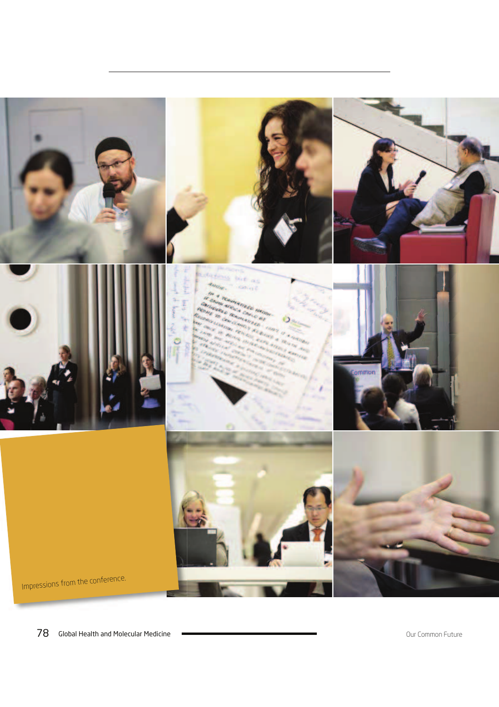